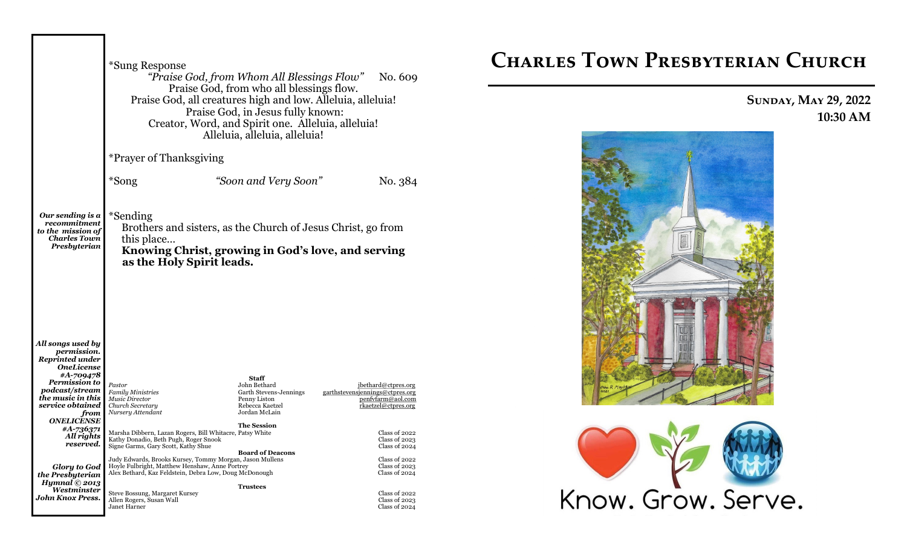|                                                                                                                                                                                                      | *Sung Response<br>"Praise God, from Whom All Blessings Flow"<br>No. 609<br>Praise God, from who all blessings flow.<br>Praise God, all creatures high and low. Alleluia, alleluia!<br>Praise God, in Jesus fully known:<br>Creator, Word, and Spirit one. Alleluia, alleluia!<br>Alleluia, alleluia, alleluia!<br>*Prayer of Thanksgiving |                                                                                           |                                                                                                             |
|------------------------------------------------------------------------------------------------------------------------------------------------------------------------------------------------------|-------------------------------------------------------------------------------------------------------------------------------------------------------------------------------------------------------------------------------------------------------------------------------------------------------------------------------------------|-------------------------------------------------------------------------------------------|-------------------------------------------------------------------------------------------------------------|
|                                                                                                                                                                                                      |                                                                                                                                                                                                                                                                                                                                           |                                                                                           |                                                                                                             |
|                                                                                                                                                                                                      | *Song                                                                                                                                                                                                                                                                                                                                     | "Soon and Very Soon"                                                                      | No. 384                                                                                                     |
| Our sending is a<br>recommitment<br>to the mission of<br><b>Charles Town</b><br>Presbyterian                                                                                                         | *Sending<br>Brothers and sisters, as the Church of Jesus Christ, go from<br>this place<br>Knowing Christ, growing in God's love, and serving<br>as the Holy Spirit leads.                                                                                                                                                                 |                                                                                           |                                                                                                             |
| All songs used by<br><i>permission.</i><br><b>Reprinted under</b><br><i><b>OneLicense</b></i><br>#A-709478<br><b>Permission to</b><br><i>podcast/stream</i><br>the music in this<br>service obtained | Pastor<br><b>Family Ministries</b><br>Music Director<br>Church Secretary                                                                                                                                                                                                                                                                  | <b>Staff</b><br>John Bethard<br>Garth Stevens-Jennings<br>Penny Liston<br>Rebecca Kaetzel | jbethard@ctpres.org<br>garthstevensjennings@ctpres.org<br>penfyfarm@aol.com<br>rkaetzel@ctpres.org          |
| from<br><b>ONELICENSE</b><br>#A-736371<br>All rights<br>reserved.                                                                                                                                    | Nursery Attendant<br>Marsha Dibbern, Lazan Rogers, Bill Whitacre, Patsy White<br>Kathy Donadio, Beth Pugh, Roger Snook<br>Signe Garms, Gary Scott, Kathy Shue                                                                                                                                                                             | Jordan McLain<br><b>The Session</b>                                                       | Class of 2022<br>Class of 2023<br>Class of 2024                                                             |
| <b>Glory to God</b><br>the Presbyterian<br>Hymnal $@$ 2013<br>Westminster<br>John Knox Press.                                                                                                        | Judy Edwards, Brooks Kursey, Tommy Morgan, Jason Mullens<br>Hoyle Fulbright, Matthew Henshaw, Anne Portrey<br>Alex Bethard, Kaz Feldstein, Debra Low, Doug McDonough<br>Steve Bossung, Margaret Kursey<br>Allen Rogers, Susan Wall<br>Janet Harner                                                                                        | <b>Board of Deacons</b><br><b>Trustees</b>                                                | Class of 2022<br>Class of $2023$<br>Class of 2024<br>Class of 2022<br><b>Class of 2023</b><br>Class of 2024 |

# **Charles Town Presbyterian Church**

# **Sunday, May 29, 2022 10:30 AM**



Know. Grow. Serve.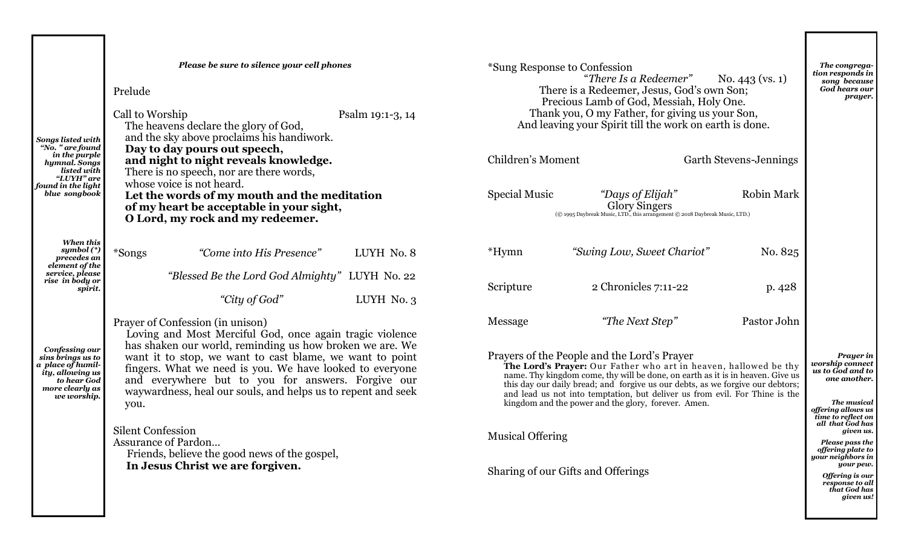| <b>Songs listed with</b><br>"No. " are found<br>in the purple<br>hymnal. Songs<br>listed with<br>"LUYH" are<br>found in the light<br>blue songbook | Prelude<br>Call to Worship                                                                                                                                                                                                                                                                                                                                                                                     | Please be sure to silence your cell phones<br>The heavens declare the glory of God,<br>and the sky above proclaims his handiwork.<br>Day to day pours out speech,<br>and night to night reveals knowledge.<br>There is no speech, nor are there words,<br>whose voice is not heard.<br>Let the words of my mouth and the meditation<br>of my heart be acceptable in your sight,<br>O Lord, my rock and my redeemer. | Psalm 19:1-3, 14         | Children's Moment<br><b>Special Music</b>                                                                                                                                                                                                                                                                                                                                                                                                    | *Sung Response to Confession<br>"There Is a Redeemer"<br>There is a Redeemer, Jesus, God's own Son;<br>Precious Lamb of God, Messiah, Holy One.<br>Thank you, O my Father, for giving us your Son,<br>And leaving your Spirit till the work on earth is done.<br>"Days of Elijah"<br><b>Glory Singers</b><br>(© 1995 Daybreak Music, LTD., this arrangement © 2018 Daybreak Music, LTD.) | No. $443$ (vs. 1)<br><b>Garth Stevens-Jennings</b><br><b>Robin Mark</b>                                                                                | The congrega-<br>tion responds in<br>song because<br>God hears our<br>prayer.                                                                          |
|----------------------------------------------------------------------------------------------------------------------------------------------------|----------------------------------------------------------------------------------------------------------------------------------------------------------------------------------------------------------------------------------------------------------------------------------------------------------------------------------------------------------------------------------------------------------------|---------------------------------------------------------------------------------------------------------------------------------------------------------------------------------------------------------------------------------------------------------------------------------------------------------------------------------------------------------------------------------------------------------------------|--------------------------|----------------------------------------------------------------------------------------------------------------------------------------------------------------------------------------------------------------------------------------------------------------------------------------------------------------------------------------------------------------------------------------------------------------------------------------------|------------------------------------------------------------------------------------------------------------------------------------------------------------------------------------------------------------------------------------------------------------------------------------------------------------------------------------------------------------------------------------------|--------------------------------------------------------------------------------------------------------------------------------------------------------|--------------------------------------------------------------------------------------------------------------------------------------------------------|
| When this<br>symbol $(*)$<br>precedes an<br>element of the<br>service, please<br>rise in body or<br>spirit.                                        | *Songs                                                                                                                                                                                                                                                                                                                                                                                                         | "Come into His Presence"<br>"Blessed Be the Lord God Almighty" LUYH No. 22<br>"City of God"                                                                                                                                                                                                                                                                                                                         | LUYH No. 8<br>LUYH No. 3 | *Hymn<br>Scripture                                                                                                                                                                                                                                                                                                                                                                                                                           | "Swing Low, Sweet Chariot"<br>2 Chronicles 7:11-22                                                                                                                                                                                                                                                                                                                                       | No. 825<br>p.428                                                                                                                                       |                                                                                                                                                        |
| Confessing our<br>sins brings us to<br>a  place of humil-<br>ity, allowing us<br>to hear God<br>more clearly as<br>we worship.                     | Prayer of Confession (in unison)<br>Loving and Most Merciful God, once again tragic violence<br>has shaken our world, reminding us how broken we are. We<br>want it to stop, we want to cast blame, we want to point<br>fingers. What we need is you. We have looked to everyone<br>and everywhere but to you for answers. Forgive our<br>waywardness, heal our souls, and helps us to repent and seek<br>you. |                                                                                                                                                                                                                                                                                                                                                                                                                     | Message                  | "The Next Step"<br>Prayers of the People and the Lord's Prayer<br>The Lord's Prayer: Our Father who art in heaven, hallowed be thy<br>name. Thy kingdom come, thy will be done, on earth as it is in heaven. Give us<br>this day our daily bread; and forgive us our debts, as we forgive our debtors;<br>and lead us not into temptation, but deliver us from evil. For Thine is the<br>kingdom and the power and the glory, forever. Amen. | Pastor John                                                                                                                                                                                                                                                                                                                                                                              | <b>Prayer in</b><br>worship connect<br>us to God and to<br>one another.<br>The musical<br>offering allows us<br>time to reflect on<br>all that God has |                                                                                                                                                        |
|                                                                                                                                                    | <b>Silent Confession</b>                                                                                                                                                                                                                                                                                                                                                                                       | <b>Assurance of Pardon</b><br>Friends, believe the good news of the gospel,<br>In Jesus Christ we are forgiven.                                                                                                                                                                                                                                                                                                     |                          | <b>Musical Offering</b>                                                                                                                                                                                                                                                                                                                                                                                                                      | Sharing of our Gifts and Offerings                                                                                                                                                                                                                                                                                                                                                       |                                                                                                                                                        | given us.<br>Please pass the<br>offering plate to<br>your neighbors in<br>your pew.<br>Offering is our<br>response to all<br>that God has<br>given us! |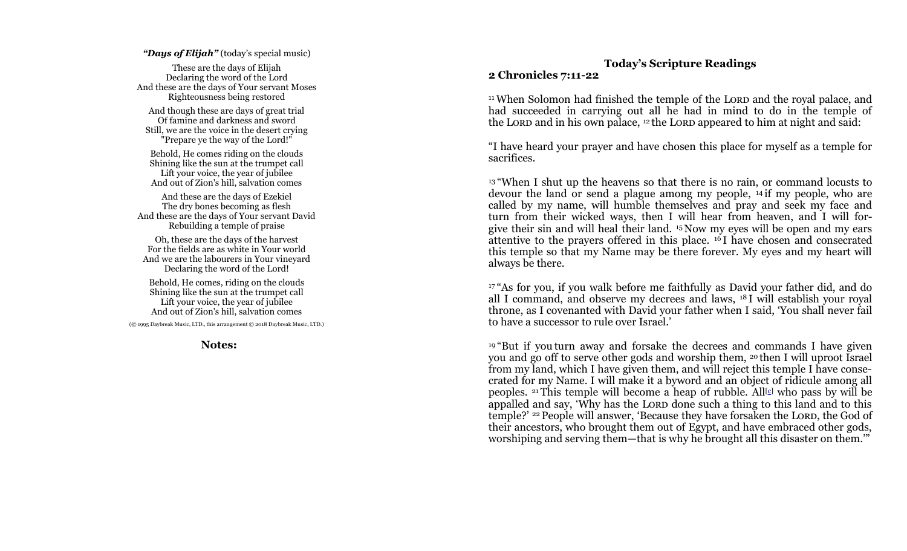#### *"Days of Elijah"* (today 's special music)

These are the days of Elijah Declaring the word of the Lord And these are the days of Your servant Moses Righteousness being restored

And though these are days of great trial Of famine and darkness and sword Still, we are the voice in the desert crying "Prepare ye the way of the Lord!"

Behold, He comes riding on the clouds Shining like the sun at the trumpet call Lift your voice, the year of jubilee And out of Zion's hill, salvation comes

And these are the days of Ezekiel The dry bones becoming as flesh And these are the days of Your servant David Rebuilding a temple of praise

Oh, these are the days of the harvest For the fields are as white in Your world And we are the labourers in Your vineyard Declaring the word of the Lord!

Behold, He comes, riding on the clouds Shining like the sun at the trumpet call Lift your voice, the year of jubilee And out of Zion's hill, salvation comes

(© 1995 Daybreak Music, LTD., this arrangement © 2018 Daybreak Music, LTD.)

#### **Notes:**

### **Today 's Scripture Readings**

#### **2 Chronicles 7:11 -22**

<sup>11</sup>When Solomon had finished the temple of the LORD and the royal palace, and had succeeded in carrying out all he had in mind to do in the temple of the Lord and in his own palace,  $12$  the Lord appeared to him at night and said:

"I have heard your prayer and have chosen this place for myself as a temple for sacrifices.

13 "When I shut up the heavens so that there is no rain, or command locusts to devour the land or send a plague among my people, <sup>14</sup> if my people, who are called by my name, will humble themselves and pray and seek my face and turn from their wicked ways, then I will hear from heaven, and I will forgive their sin and will heal their land. <sup>15</sup>Now my eyes will be open and my ears attentive to the prayers offered in this place. <sup>16</sup> I have chosen and consecrated this temple so that my Name may be there forever. My eyes and my heart will always be there.

17 "As for you, if you walk before me faithfully as David your father did, and do all I command, and observe my decrees and laws, <sup>18</sup> I will establish your royal throne, as I covenanted with David your father when I said, 'You shall never fail to have a successor to rule over Israel. '

<sup>19</sup> "But if you turn away and forsake the decrees and commands I have given you and go off to serve other gods and worship them, <sup>20</sup> then I will uproot Israel from my land, which I have given them, and will reject this temple I have consecrated for my Name. I will make it a byword and an object of ridicule among all peoples.  $21$  This temple will be[c](https://www.biblegateway.com/passage/?search=2+Chronicles+7%3A11-22&version=NIV#fen-NIV-11346c)ome a heap of rubble. All  $\Box$  who pass by will be appalled and say, 'Why has the Lorp done such a thing to this land and to this temple?' <sup>22</sup> People will answer, 'Because they have forsaken the LORD, the God of their ancestors, who brought them out of Egypt, and have embraced other gods, worshiping and serving them —that is why he brought all this disaster on them.'"